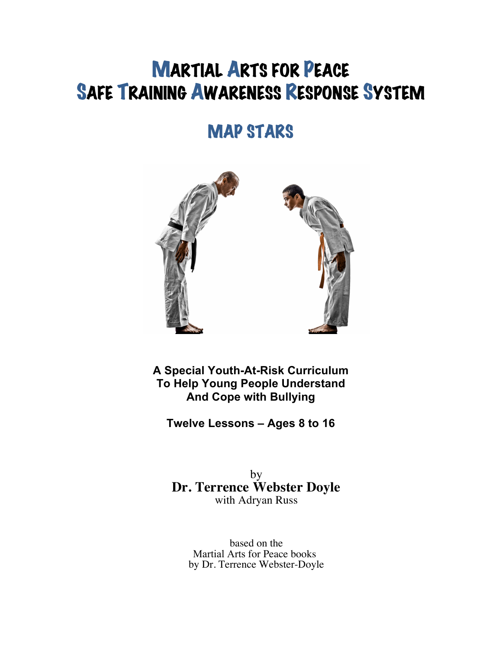# MARTIAL ARTS FOR PEACE SAFE TRAINING AWARENESS RESPONSE SYSTEM

## MAP STARS



**A Special Youth-At-Risk Curriculum To Help Young People Understand And Cope with Bullying**

**Twelve Lessons – Ages 8 to 16**

by **Dr. Terrence Webster Doyle** with Adryan Russ

based on the Martial Arts for Peace books by Dr. Terrence Webster-Doyle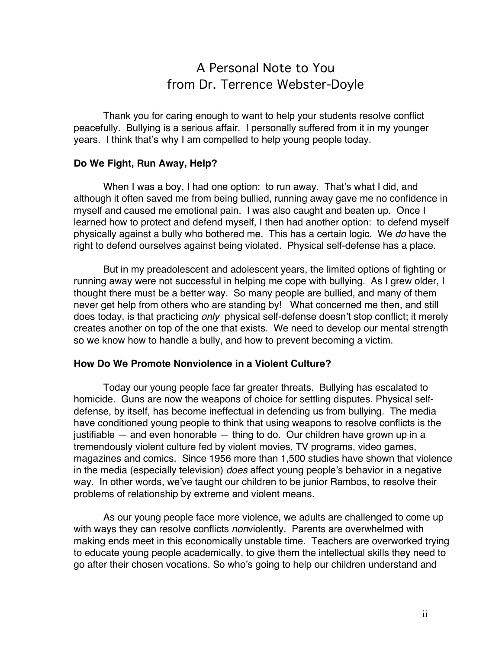## A Personal Note to You from Dr. Terrence Webster-Doyle

Thank you for caring enough to want to help your students resolve conflict peacefully. Bullying is a serious affair. I personally suffered from it in my younger years. I think that's why I am compelled to help young people today.

#### **Do We Fight, Run Away, Help?**

When I was a boy, I had one option: to run away. That's what I did, and although it often saved me from being bullied, running away gave me no confidence in myself and caused me emotional pain. I was also caught and beaten up. Once I learned how to protect and defend myself, I then had another option: to defend myself physically against a bully who bothered me. This has a certain logic. We *do* have the right to defend ourselves against being violated. Physical self-defense has a place.

But in my preadolescent and adolescent years, the limited options of fighting or running away were not successful in helping me cope with bullying. As I grew older, I thought there must be a better way. So many people are bullied, and many of them never get help from others who are standing by! What concerned me then, and still does today, is that practicing *only* physical self-defense doesn't stop conflict; it merely creates another on top of the one that exists. We need to develop our mental strength so we know how to handle a bully, and how to prevent becoming a victim.

#### **How Do We Promote Nonviolence in a Violent Culture?**

Today our young people face far greater threats. Bullying has escalated to homicide. Guns are now the weapons of choice for settling disputes. Physical selfdefense, by itself, has become ineffectual in defending us from bullying. The media have conditioned young people to think that using weapons to resolve conflicts is the justifiable — and even honorable — thing to do. Our children have grown up in a tremendously violent culture fed by violent movies, TV programs, video games, magazines and comics. Since 1956 more than 1,500 studies have shown that violence in the media (especially television) *does* affect young people's behavior in a negative way. In other words, we've taught our children to be junior Rambos, to resolve their problems of relationship by extreme and violent means.

As our young people face more violence, we adults are challenged to come up with ways they can resolve conflicts *non*violently. Parents are overwhelmed with making ends meet in this economically unstable time. Teachers are overworked trying to educate young people academically, to give them the intellectual skills they need to go after their chosen vocations. So who's going to help our children understand and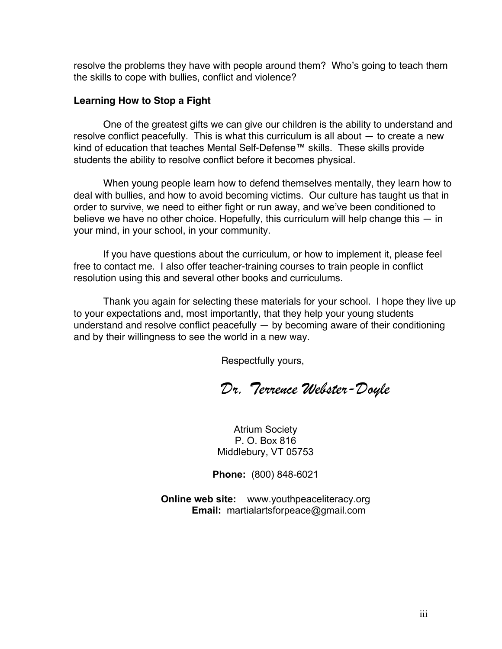resolve the problems they have with people around them? Who's going to teach them the skills to cope with bullies, conflict and violence?

### **Learning How to Stop a Fight**

One of the greatest gifts we can give our children is the ability to understand and resolve conflict peacefully. This is what this curriculum is all about — to create a new kind of education that teaches Mental Self-Defense™ skills. These skills provide students the ability to resolve conflict before it becomes physical.

When young people learn how to defend themselves mentally, they learn how to deal with bullies, and how to avoid becoming victims. Our culture has taught us that in order to survive, we need to either fight or run away, and we've been conditioned to believe we have no other choice. Hopefully, this curriculum will help change this — in your mind, in your school, in your community.

If you have questions about the curriculum, or how to implement it, please feel free to contact me. I also offer teacher-training courses to train people in conflict resolution using this and several other books and curriculums.

Thank you again for selecting these materials for your school. I hope they live up to your expectations and, most importantly, that they help your young students understand and resolve conflict peacefully — by becoming aware of their conditioning and by their willingness to see the world in a new way.

Respectfully yours,

*Dr. Terrence Webster-Doyle*

Atrium Society P. O. Box 816 Middlebury, VT 05753

**Phone:** (800) 848-6021

**Online web site:** www.youthpeaceliteracy.org **Email:** martialartsforpeace@gmail.com